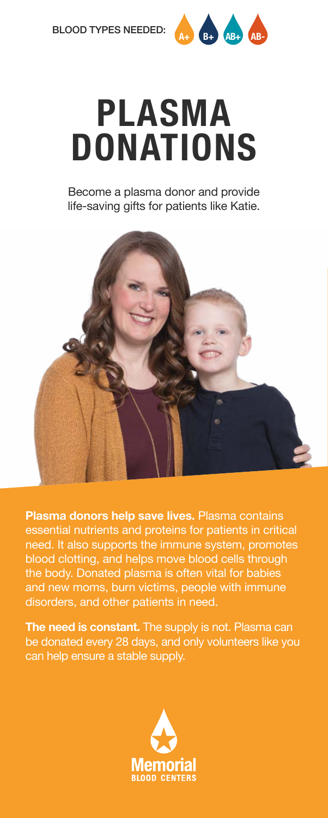

## **PLASMA DONATIONS**

Become a plasma donor and provide life-saving gifts for patients like Katie.



**Plasma donors help save lives.** Plasma contains essential nutrients and proteins for patients in critical need. It also supports the immune system, promotes blood clotting, and helps move blood cells through the body. Donated plasma is often vital for babies and new moms, burn victims, people with immune disorders, and other patients in need.

**The need is constant.** The supply is not. Plasma can be donated every 28 days, and only volunteers like you can help ensure a stable supply.